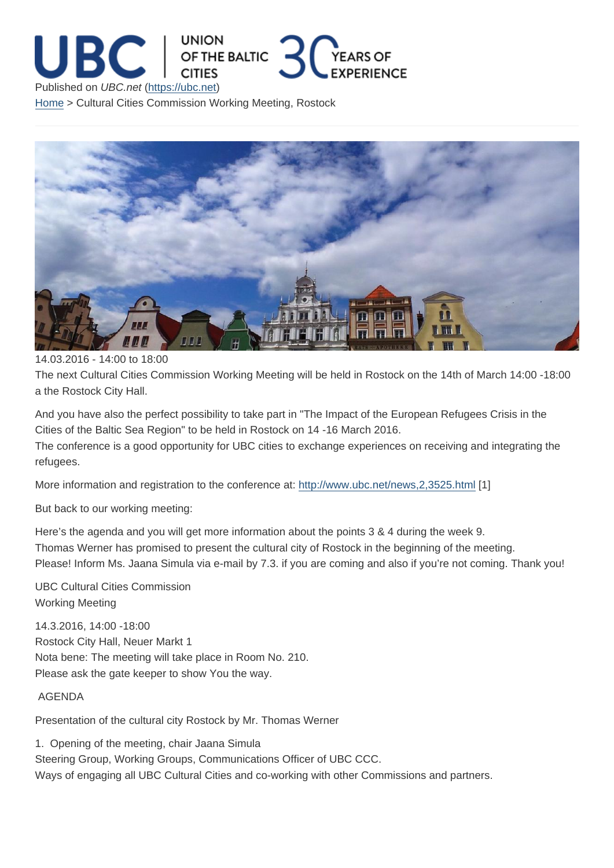## 14.03.2016 - 14:00 to 18:00

The next Cultural Cities Commission Working Meeting will be held in Rostock on the 14th of March 14:00 -18:00 a the Rostock City Hall.

And you have also the perfect possibility to take part in "The Impact of the European Refugees Crisis in the Cities of the Baltic Sea Region" to be held in Rostock on 14 -16 March 2016. The conference is a good opportunity for UBC cities to exchange experiences on receiving and integrating the

refugees.

More information and registration to the conference at: http://www.ubc.net/news,2,3525.html [1]

But back to our working meeting:

Here's the agenda and you will get more information a[bout the points 3 & 4 during the week](http://www.ubc.net/news,2,3525.html) 9. Thomas Werner has promised to present the cultural city of Rostock in the beginning of the meeting. Please! Inform Ms. Jaana Simula via e-mail by 7.3. if you are coming and also if you're not coming. Thank you!

UBC Cultural Cities Commission Working Meeting

14.3.2016, 14:00 -18:00 Rostock City Hall, Neuer Markt 1 Nota bene: The meeting will take place in Room No. 210. Please ask the gate keeper to show You the way.

## AGENDA

Presentation of the cultural city Rostock by Mr. Thomas Werner

1. Opening of the meeting, chair Jaana Simula Steering Group, Working Groups, Communications Officer of UBC CCC. Ways of engaging all UBC Cultural Cities and co-working with other Commissions and partners.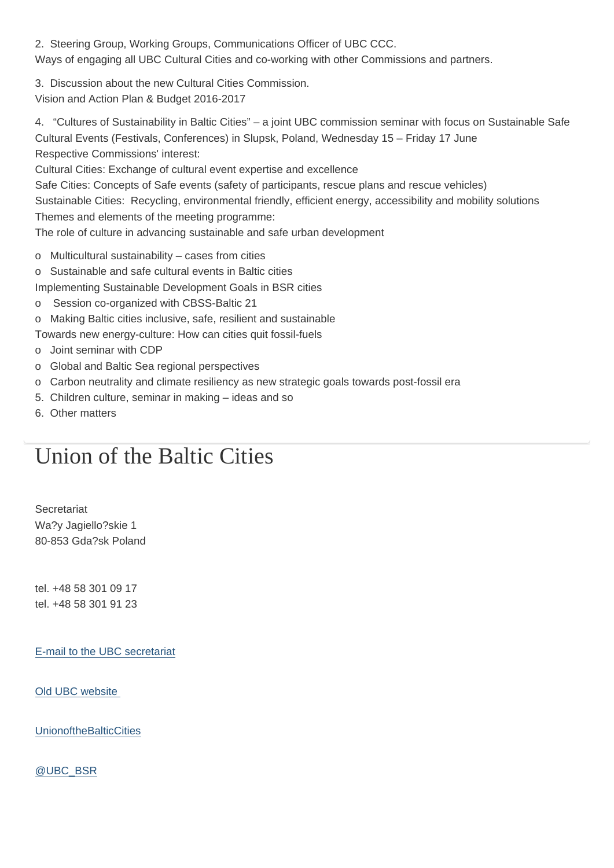Ways of engaging all UBC Cultural Cities and co-working with other Commissions and partners.

3. Discussion about the new Cultural Cities Commission. Vision and Action Plan & Budget 2016-2017

4. "Cultures of Sustainability in Baltic Cities" – a joint UBC commission seminar with focus on Sustainable Safe Cultural Events (Festivals, Conferences) in Slupsk, Poland, Wednesday 15 – Friday 17 June Respective Commissions' interest:

Cultural Cities: Exchange of cultural event expertise and excellence

Safe Cities: Concepts of Safe events (safety of participants, rescue plans and rescue vehicles)

Sustainable Cities: Recycling, environmental friendly, efficient energy, accessibility and mobility solutions

Themes and elements of the meeting programme:

The role of culture in advancing sustainable and safe urban development

- o Multicultural sustainability cases from cities
- o Sustainable and safe cultural events in Baltic cities
- Implementing Sustainable Development Goals in BSR cities
- o Session co-organized with CBSS-Baltic 21
- o Making Baltic cities inclusive, safe, resilient and sustainable

Towards new energy-culture: How can cities quit fossil-fuels

- o Joint seminar with CDP
- o Global and Baltic Sea regional perspectives
- o Carbon neutrality and climate resiliency as new strategic goals towards post-fossil era
- 5. Children culture, seminar in making ideas and so
- 6. Other matters

## Union of the Baltic Cities

**Secretariat** Wa?y Jagiello?skie 1 80-853 Gda?sk Poland

tel. +48 58 301 09 17 tel. +48 58 301 91 23

E-mail to the UBC secretariat

[Old UBC website](mailto:info@ubc.net) 

**[UnionoftheBalticC](http://archive.ubc.net)ities** 

[@UBC\\_BSR](https://www.facebook.com/UnionoftheBalticCities)